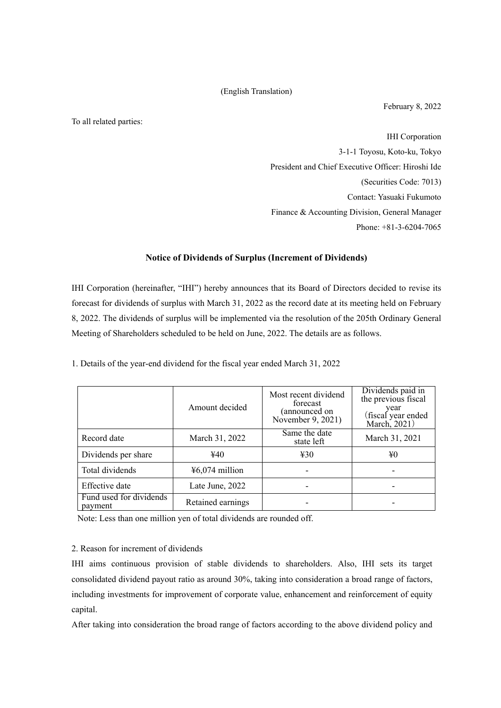## (English Translation)

February 8, 2022

To all related parties:

IHI Corporation 3-1-1 Toyosu, Koto-ku, Tokyo President and Chief Executive Officer: Hiroshi Ide (Securities Code: 7013) Contact: Yasuaki Fukumoto Finance & Accounting Division, General Manager Phone: +81-3-6204-7065

## **Notice of Dividends of Surplus (Increment of Dividends)**

IHI Corporation (hereinafter, "IHI") hereby announces that its Board of Directors decided to revise its forecast for dividends of surplus with March 31, 2022 as the record date at its meeting held on February 8, 2022. The dividends of surplus will be implemented via the resolution of the 205th Ordinary General Meeting of Shareholders scheduled to be held on June, 2022. The details are as follows.

1. Details of the year-end dividend for the fiscal year ended March 31, 2022

|                                    | Amount decided    | Most recent dividend<br>forecast<br>(announced on<br>November 9, 2021) | Dividends paid in<br>the previous fiscal<br>year<br>(fiscal year ended<br>March, 2021) |
|------------------------------------|-------------------|------------------------------------------------------------------------|----------------------------------------------------------------------------------------|
| Record date                        | March 31, 2022    | Same the date<br>state left                                            | March 31, 2021                                                                         |
| Dividends per share                | ¥40               | 430                                                                    | ¥0                                                                                     |
| Total dividends                    | $46,074$ million  |                                                                        |                                                                                        |
| Effective date                     | Late June, 2022   |                                                                        |                                                                                        |
| Fund used for dividends<br>payment | Retained earnings |                                                                        |                                                                                        |

Note: Less than one million yen of total dividends are rounded off.

## 2. Reason for increment of dividends

IHI aims continuous provision of stable dividends to shareholders. Also, IHI sets its target consolidated dividend payout ratio as around 30%, taking into consideration a broad range of factors, including investments for improvement of corporate value, enhancement and reinforcement of equity capital.

After taking into consideration the broad range of factors according to the above dividend policy and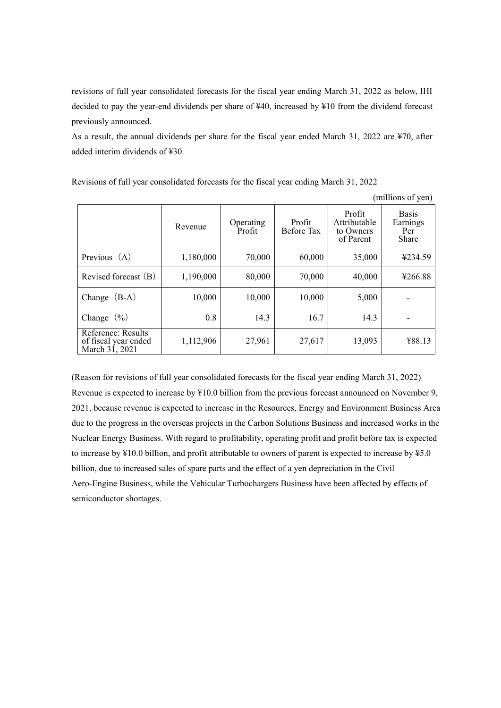revisions of full year consolidated forecasts for the fiscal year ending March 31, 2022 as below, IHI decided to pay the year-end dividends per share of ¥40, increased by ¥10 from the dividend forecast previously announced.

As a result, the annual dividends per share for the fiscal year ended March 31, 2022 are ¥70, after added interim dividends of ¥30.

Revisions of full year consolidated forecasts for the fiscal year ending March 31, 2022

(millions of yen)

|                                                              | Revenue   | Operating<br>Profit | Profit<br>Before Tax | Profit<br>Attributable<br>to Owners<br>of Parent | <b>Basis</b><br>Earnings<br>Per<br>Share |
|--------------------------------------------------------------|-----------|---------------------|----------------------|--------------------------------------------------|------------------------------------------|
| Previous $(A)$                                               | 1,180,000 | 70,000              | 60,000               | 35,000                                           | ¥234.59                                  |
| Revised forecast (B)                                         | 1,190,000 | 80,000              | 70,000               | 40,000                                           | ¥266.88                                  |
| Change $(B-A)$                                               | 10,000    | 10,000              | 10,000               | 5,000                                            |                                          |
| Change $(\% )$                                               | 0.8       | 14.3                | 16.7                 | 14.3                                             |                                          |
| Reference: Results<br>of fiscal year ended<br>March 31, 2021 | 1,112,906 | 27,961              | 27,617               | 13,093                                           | ¥88.13                                   |

(Reason for revisions of full year consolidated forecasts for the fiscal year ending March 31, 2022) Revenue is expected to increase by ¥10.0 billion from the previous forecast announced on November 9, 2021, because revenue is expected to increase in the Resources, Energy and Environment Business Area due to the progress in the overseas projects in the Carbon Solutions Business and increased works in the Nuclear Energy Business. With regard to profitability, operating profit and profit before tax is expected to increase by ¥10.0 billion, and profit attributable to owners of parent is expected to increase by ¥5.0 billion, due to increased sales of spare parts and the effect of a yen depreciation in the Civil Aero-Engine Business, while the Vehicular Turbochargers Business have been affected by effects of semiconductor shortages.